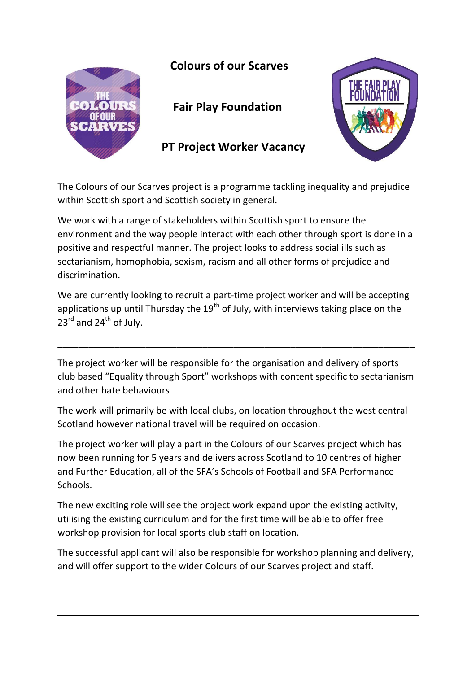

## **Colours of our Scarves**

 **Fair Play Foundation** 

 **PT Project Worker Vacancy**



The Colours of our Scarves project is a programme tackling inequality and prejudice within Scottish sport and Scottish society in general.

We work with a range of stakeholders within Scottish sport to ensure the environment and the way people interact with each other through sport is done in a positive and respectful manner. The project looks to address social ills such as sectarianism, homophobia, sexism, racism and all other forms of prejudice and discrimination.

We are currently looking to recruit a part-time project worker and will be accepting applications up until Thursday the  $19<sup>th</sup>$  of July, with interviews taking place on the 23<sup>rd</sup> and 24<sup>th</sup> of July.

The project worker will be responsible for the organisation and delivery of sports club based "Equality through Sport" workshops with content specific to sectarianism and other hate behaviours

\_\_\_\_\_\_\_\_\_\_\_\_\_\_\_\_\_\_\_\_\_\_\_\_\_\_\_\_\_\_\_\_\_\_\_\_\_\_\_\_\_\_\_\_\_\_\_\_\_\_\_\_\_\_\_\_\_\_\_\_\_\_\_\_\_\_\_\_\_

The work will primarily be with local clubs, on location throughout the west central Scotland however national travel will be required on occasion.

The project worker will play a part in the Colours of our Scarves project which has now been running for 5 years and delivers across Scotland to 10 centres of higher and Further Education, all of the SFA's Schools of Football and SFA Performance Schools.

The new exciting role will see the project work expand upon the existing activity, utilising the existing curriculum and for the first time will be able to offer free workshop provision for local sports club staff on location.

The successful applicant will also be responsible for workshop planning and delivery, and will offer support to the wider Colours of our Scarves project and staff.